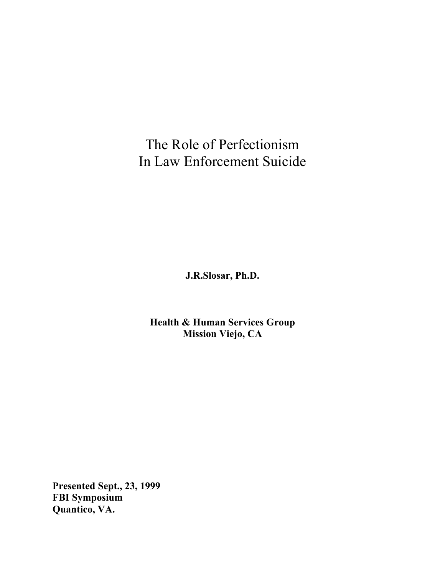The Role of Perfectionism In Law Enforcement Suicide

**J.R.Slosar, Ph.D.**

**Health & Human Services Group Mission Viejo, CA**

**Presented Sept., 23, 1999 FBI Symposium Quantico, VA.**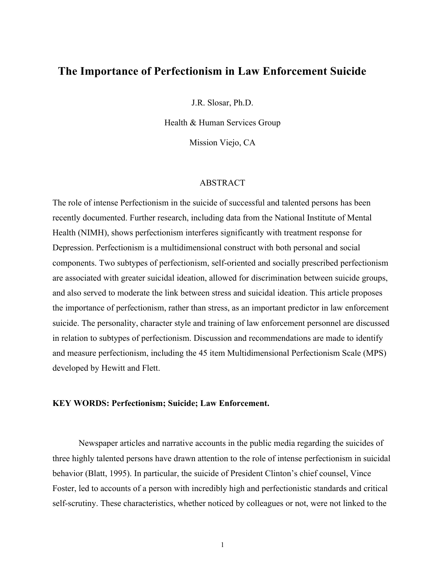# **The Importance of Perfectionism in Law Enforcement Suicide**

J.R. Slosar, Ph.D.

Health & Human Services Group

Mission Viejo, CA

#### ABSTRACT

The role of intense Perfectionism in the suicide of successful and talented persons has been recently documented. Further research, including data from the National Institute of Mental Health (NIMH), shows perfectionism interferes significantly with treatment response for Depression. Perfectionism is a multidimensional construct with both personal and social components. Two subtypes of perfectionism, self-oriented and socially prescribed perfectionism are associated with greater suicidal ideation, allowed for discrimination between suicide groups, and also served to moderate the link between stress and suicidal ideation. This article proposes the importance of perfectionism, rather than stress, as an important predictor in law enforcement suicide. The personality, character style and training of law enforcement personnel are discussed in relation to subtypes of perfectionism. Discussion and recommendations are made to identify and measure perfectionism, including the 45 item Multidimensional Perfectionism Scale (MPS) developed by Hewitt and Flett.

## **KEY WORDS: Perfectionism; Suicide; Law Enforcement.**

Newspaper articles and narrative accounts in the public media regarding the suicides of three highly talented persons have drawn attention to the role of intense perfectionism in suicidal behavior (Blatt, 1995). In particular, the suicide of President Clinton's chief counsel, Vince Foster, led to accounts of a person with incredibly high and perfectionistic standards and critical self-scrutiny. These characteristics, whether noticed by colleagues or not, were not linked to the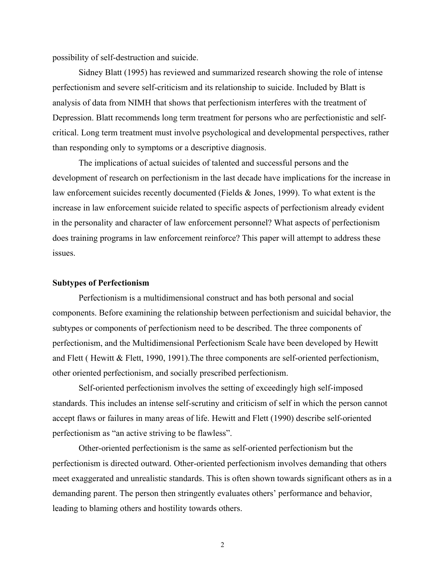possibility of self-destruction and suicide.

Sidney Blatt (1995) has reviewed and summarized research showing the role of intense perfectionism and severe self-criticism and its relationship to suicide. Included by Blatt is analysis of data from NIMH that shows that perfectionism interferes with the treatment of Depression. Blatt recommends long term treatment for persons who are perfectionistic and selfcritical. Long term treatment must involve psychological and developmental perspectives, rather than responding only to symptoms or a descriptive diagnosis.

The implications of actual suicides of talented and successful persons and the development of research on perfectionism in the last decade have implications for the increase in law enforcement suicides recently documented (Fields & Jones, 1999). To what extent is the increase in law enforcement suicide related to specific aspects of perfectionism already evident in the personality and character of law enforcement personnel? What aspects of perfectionism does training programs in law enforcement reinforce? This paper will attempt to address these issues.

#### **Subtypes of Perfectionism**

Perfectionism is a multidimensional construct and has both personal and social components. Before examining the relationship between perfectionism and suicidal behavior, the subtypes or components of perfectionism need to be described. The three components of perfectionism, and the Multidimensional Perfectionism Scale have been developed by Hewitt and Flett ( Hewitt & Flett, 1990, 1991).The three components are self-oriented perfectionism, other oriented perfectionism, and socially prescribed perfectionism.

Self-oriented perfectionism involves the setting of exceedingly high self-imposed standards. This includes an intense self-scrutiny and criticism of self in which the person cannot accept flaws or failures in many areas of life. Hewitt and Flett (1990) describe self-oriented perfectionism as "an active striving to be flawless".

Other-oriented perfectionism is the same as self-oriented perfectionism but the perfectionism is directed outward. Other-oriented perfectionism involves demanding that others meet exaggerated and unrealistic standards. This is often shown towards significant others as in a demanding parent. The person then stringently evaluates others' performance and behavior, leading to blaming others and hostility towards others.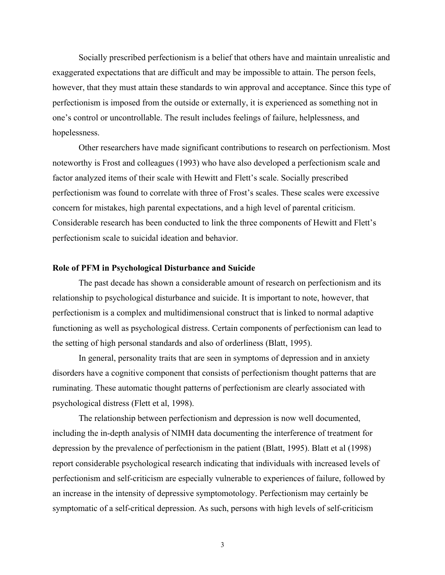Socially prescribed perfectionism is a belief that others have and maintain unrealistic and exaggerated expectations that are difficult and may be impossible to attain. The person feels, however, that they must attain these standards to win approval and acceptance. Since this type of perfectionism is imposed from the outside or externally, it is experienced as something not in one's control or uncontrollable. The result includes feelings of failure, helplessness, and hopelessness.

Other researchers have made significant contributions to research on perfectionism. Most noteworthy is Frost and colleagues (1993) who have also developed a perfectionism scale and factor analyzed items of their scale with Hewitt and Flett's scale. Socially prescribed perfectionism was found to correlate with three of Frost's scales. These scales were excessive concern for mistakes, high parental expectations, and a high level of parental criticism. Considerable research has been conducted to link the three components of Hewitt and Flett's perfectionism scale to suicidal ideation and behavior.

#### **Role of PFM in Psychological Disturbance and Suicide**

The past decade has shown a considerable amount of research on perfectionism and its relationship to psychological disturbance and suicide. It is important to note, however, that perfectionism is a complex and multidimensional construct that is linked to normal adaptive functioning as well as psychological distress. Certain components of perfectionism can lead to the setting of high personal standards and also of orderliness (Blatt, 1995).

In general, personality traits that are seen in symptoms of depression and in anxiety disorders have a cognitive component that consists of perfectionism thought patterns that are ruminating. These automatic thought patterns of perfectionism are clearly associated with psychological distress (Flett et al, 1998).

The relationship between perfectionism and depression is now well documented, including the in-depth analysis of NIMH data documenting the interference of treatment for depression by the prevalence of perfectionism in the patient (Blatt, 1995). Blatt et al (1998) report considerable psychological research indicating that individuals with increased levels of perfectionism and self-criticism are especially vulnerable to experiences of failure, followed by an increase in the intensity of depressive symptomotology. Perfectionism may certainly be symptomatic of a self-critical depression. As such, persons with high levels of self-criticism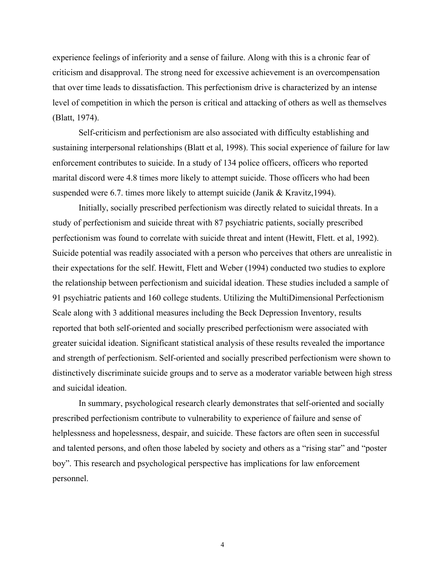experience feelings of inferiority and a sense of failure. Along with this is a chronic fear of criticism and disapproval. The strong need for excessive achievement is an overcompensation that over time leads to dissatisfaction. This perfectionism drive is characterized by an intense level of competition in which the person is critical and attacking of others as well as themselves (Blatt, 1974).

Self-criticism and perfectionism are also associated with difficulty establishing and sustaining interpersonal relationships (Blatt et al, 1998). This social experience of failure for law enforcement contributes to suicide. In a study of 134 police officers, officers who reported marital discord were 4.8 times more likely to attempt suicide. Those officers who had been suspended were 6.7. times more likely to attempt suicide (Janik & Kravitz,1994).

Initially, socially prescribed perfectionism was directly related to suicidal threats. In a study of perfectionism and suicide threat with 87 psychiatric patients, socially prescribed perfectionism was found to correlate with suicide threat and intent (Hewitt, Flett. et al, 1992). Suicide potential was readily associated with a person who perceives that others are unrealistic in their expectations for the self. Hewitt, Flett and Weber (1994) conducted two studies to explore the relationship between perfectionism and suicidal ideation. These studies included a sample of 91 psychiatric patients and 160 college students. Utilizing the MultiDimensional Perfectionism Scale along with 3 additional measures including the Beck Depression Inventory, results reported that both self-oriented and socially prescribed perfectionism were associated with greater suicidal ideation. Significant statistical analysis of these results revealed the importance and strength of perfectionism. Self-oriented and socially prescribed perfectionism were shown to distinctively discriminate suicide groups and to serve as a moderator variable between high stress and suicidal ideation.

In summary, psychological research clearly demonstrates that self-oriented and socially prescribed perfectionism contribute to vulnerability to experience of failure and sense of helplessness and hopelessness, despair, and suicide. These factors are often seen in successful and talented persons, and often those labeled by society and others as a "rising star" and "poster boy". This research and psychological perspective has implications for law enforcement personnel.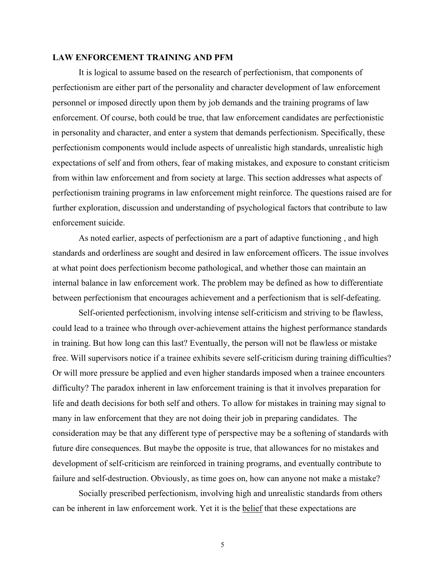### **LAW ENFORCEMENT TRAINING AND PFM**

It is logical to assume based on the research of perfectionism, that components of perfectionism are either part of the personality and character development of law enforcement personnel or imposed directly upon them by job demands and the training programs of law enforcement. Of course, both could be true, that law enforcement candidates are perfectionistic in personality and character, and enter a system that demands perfectionism. Specifically, these perfectionism components would include aspects of unrealistic high standards, unrealistic high expectations of self and from others, fear of making mistakes, and exposure to constant criticism from within law enforcement and from society at large. This section addresses what aspects of perfectionism training programs in law enforcement might reinforce. The questions raised are for further exploration, discussion and understanding of psychological factors that contribute to law enforcement suicide.

As noted earlier, aspects of perfectionism are a part of adaptive functioning , and high standards and orderliness are sought and desired in law enforcement officers. The issue involves at what point does perfectionism become pathological, and whether those can maintain an internal balance in law enforcement work. The problem may be defined as how to differentiate between perfectionism that encourages achievement and a perfectionism that is self-defeating.

Self-oriented perfectionism, involving intense self-criticism and striving to be flawless, could lead to a trainee who through over-achievement attains the highest performance standards in training. But how long can this last? Eventually, the person will not be flawless or mistake free. Will supervisors notice if a trainee exhibits severe self-criticism during training difficulties? Or will more pressure be applied and even higher standards imposed when a trainee encounters difficulty? The paradox inherent in law enforcement training is that it involves preparation for life and death decisions for both self and others. To allow for mistakes in training may signal to many in law enforcement that they are not doing their job in preparing candidates. The consideration may be that any different type of perspective may be a softening of standards with future dire consequences. But maybe the opposite is true, that allowances for no mistakes and development of self-criticism are reinforced in training programs, and eventually contribute to failure and self-destruction. Obviously, as time goes on, how can anyone not make a mistake?

Socially prescribed perfectionism, involving high and unrealistic standards from others can be inherent in law enforcement work. Yet it is the belief that these expectations are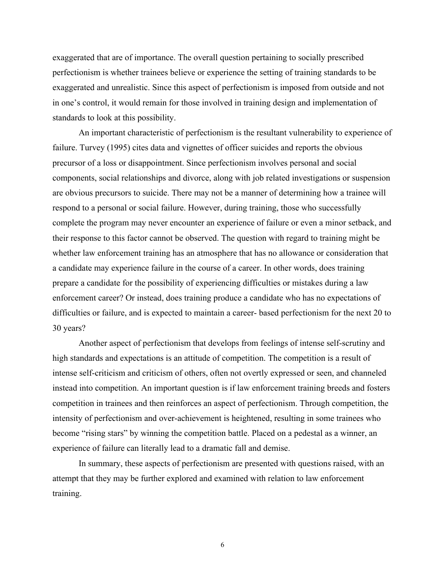exaggerated that are of importance. The overall question pertaining to socially prescribed perfectionism is whether trainees believe or experience the setting of training standards to be exaggerated and unrealistic. Since this aspect of perfectionism is imposed from outside and not in one's control, it would remain for those involved in training design and implementation of standards to look at this possibility.

An important characteristic of perfectionism is the resultant vulnerability to experience of failure. Turvey (1995) cites data and vignettes of officer suicides and reports the obvious precursor of a loss or disappointment. Since perfectionism involves personal and social components, social relationships and divorce, along with job related investigations or suspension are obvious precursors to suicide. There may not be a manner of determining how a trainee will respond to a personal or social failure. However, during training, those who successfully complete the program may never encounter an experience of failure or even a minor setback, and their response to this factor cannot be observed. The question with regard to training might be whether law enforcement training has an atmosphere that has no allowance or consideration that a candidate may experience failure in the course of a career. In other words, does training prepare a candidate for the possibility of experiencing difficulties or mistakes during a law enforcement career? Or instead, does training produce a candidate who has no expectations of difficulties or failure, and is expected to maintain a career- based perfectionism for the next 20 to 30 years?

Another aspect of perfectionism that develops from feelings of intense self-scrutiny and high standards and expectations is an attitude of competition. The competition is a result of intense self-criticism and criticism of others, often not overtly expressed or seen, and channeled instead into competition. An important question is if law enforcement training breeds and fosters competition in trainees and then reinforces an aspect of perfectionism. Through competition, the intensity of perfectionism and over-achievement is heightened, resulting in some trainees who become "rising stars" by winning the competition battle. Placed on a pedestal as a winner, an experience of failure can literally lead to a dramatic fall and demise.

In summary, these aspects of perfectionism are presented with questions raised, with an attempt that they may be further explored and examined with relation to law enforcement training.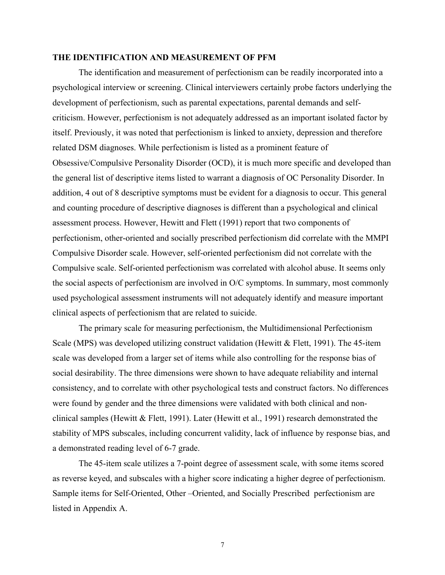#### **THE IDENTIFICATION AND MEASUREMENT OF PFM**

The identification and measurement of perfectionism can be readily incorporated into a psychological interview or screening. Clinical interviewers certainly probe factors underlying the development of perfectionism, such as parental expectations, parental demands and selfcriticism. However, perfectionism is not adequately addressed as an important isolated factor by itself. Previously, it was noted that perfectionism is linked to anxiety, depression and therefore related DSM diagnoses. While perfectionism is listed as a prominent feature of Obsessive/Compulsive Personality Disorder (OCD), it is much more specific and developed than the general list of descriptive items listed to warrant a diagnosis of OC Personality Disorder. In addition, 4 out of 8 descriptive symptoms must be evident for a diagnosis to occur. This general and counting procedure of descriptive diagnoses is different than a psychological and clinical assessment process. However, Hewitt and Flett (1991) report that two components of perfectionism, other-oriented and socially prescribed perfectionism did correlate with the MMPI Compulsive Disorder scale. However, self-oriented perfectionism did not correlate with the Compulsive scale. Self-oriented perfectionism was correlated with alcohol abuse. It seems only the social aspects of perfectionism are involved in O/C symptoms. In summary, most commonly used psychological assessment instruments will not adequately identify and measure important clinical aspects of perfectionism that are related to suicide.

The primary scale for measuring perfectionism, the Multidimensional Perfectionism Scale (MPS) was developed utilizing construct validation (Hewitt & Flett, 1991). The 45-item scale was developed from a larger set of items while also controlling for the response bias of social desirability. The three dimensions were shown to have adequate reliability and internal consistency, and to correlate with other psychological tests and construct factors. No differences were found by gender and the three dimensions were validated with both clinical and nonclinical samples (Hewitt & Flett, 1991). Later (Hewitt et al., 1991) research demonstrated the stability of MPS subscales, including concurrent validity, lack of influence by response bias, and a demonstrated reading level of 6-7 grade.

The 45-item scale utilizes a 7-point degree of assessment scale, with some items scored as reverse keyed, and subscales with a higher score indicating a higher degree of perfectionism. Sample items for Self-Oriented, Other –Oriented, and Socially Prescribed perfectionism are listed in Appendix A.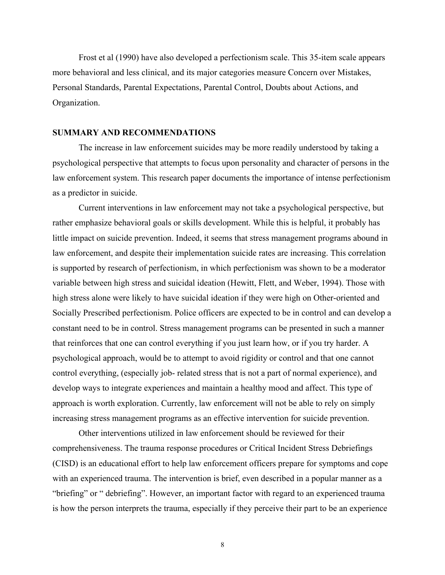Frost et al (1990) have also developed a perfectionism scale. This 35-item scale appears more behavioral and less clinical, and its major categories measure Concern over Mistakes, Personal Standards, Parental Expectations, Parental Control, Doubts about Actions, and Organization.

#### **SUMMARY AND RECOMMENDATIONS**

The increase in law enforcement suicides may be more readily understood by taking a psychological perspective that attempts to focus upon personality and character of persons in the law enforcement system. This research paper documents the importance of intense perfectionism as a predictor in suicide.

Current interventions in law enforcement may not take a psychological perspective, but rather emphasize behavioral goals or skills development. While this is helpful, it probably has little impact on suicide prevention. Indeed, it seems that stress management programs abound in law enforcement, and despite their implementation suicide rates are increasing. This correlation is supported by research of perfectionism, in which perfectionism was shown to be a moderator variable between high stress and suicidal ideation (Hewitt, Flett, and Weber, 1994). Those with high stress alone were likely to have suicidal ideation if they were high on Other-oriented and Socially Prescribed perfectionism. Police officers are expected to be in control and can develop a constant need to be in control. Stress management programs can be presented in such a manner that reinforces that one can control everything if you just learn how, or if you try harder. A psychological approach, would be to attempt to avoid rigidity or control and that one cannot control everything, (especially job- related stress that is not a part of normal experience), and develop ways to integrate experiences and maintain a healthy mood and affect. This type of approach is worth exploration. Currently, law enforcement will not be able to rely on simply increasing stress management programs as an effective intervention for suicide prevention.

Other interventions utilized in law enforcement should be reviewed for their comprehensiveness. The trauma response procedures or Critical Incident Stress Debriefings (CISD) is an educational effort to help law enforcement officers prepare for symptoms and cope with an experienced trauma. The intervention is brief, even described in a popular manner as a "briefing" or " debriefing". However, an important factor with regard to an experienced trauma is how the person interprets the trauma, especially if they perceive their part to be an experience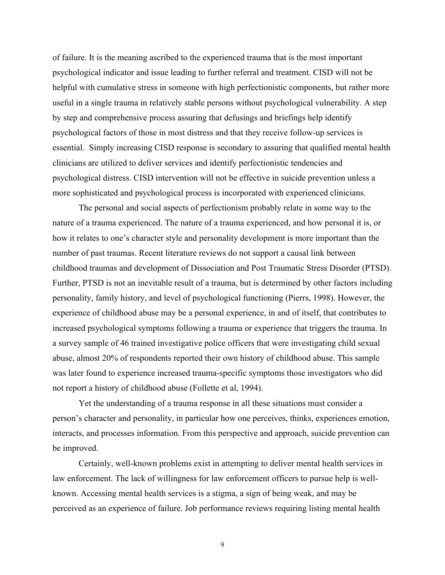of failure. It is the meaning ascribed to the experienced trauma that is the most important psychological indicator and issue leading to further referral and treatment. CISD will not be helpful with cumulative stress in someone with high perfectionistic components, but rather more useful in a single trauma in relatively stable persons without psychological vulnerability. A step by step and comprehensive process assuring that defusings and briefings help identify psychological factors of those in most distress and that they receive follow-up services is essential. Simply increasing CISD response is secondary to assuring that qualified mental health clinicians are utilized to deliver services and identify perfectionistic tendencies and psychological distress. CISD intervention will not be effective in suicide prevention unless a more sophisticated and psychological process is incorporated with experienced clinicians.

The personal and social aspects of perfectionism probably relate in some way to the nature of a trauma experienced. The nature of a trauma experienced, and how personal it is, or how it relates to one's character style and personality development is more important than the number of past traumas. Recent literature reviews do not support a causal link between childhood traumas and development of Dissociation and Post Traumatic Stress Disorder (PTSD). Further, PTSD is not an inevitable result of a trauma, but is determined by other factors including personality, family history, and level of psychological functioning (Pierrs, 1998). However, the experience of childhood abuse may be a personal experience, in and of itself, that contributes to increased psychological symptoms following a trauma or experience that triggers the trauma. In a survey sample of 46 trained investigative police officers that were investigating child sexual abuse, almost 20% of respondents reported their own history of childhood abuse. This sample was later found to experience increased trauma-specific symptoms those investigators who did not report a history of childhood abuse (Follette et al, 1994).

Yet the understanding of a trauma response in all these situations must consider a person's character and personality, in particular how one perceives, thinks, experiences emotion, interacts, and processes information. From this perspective and approach, suicide prevention can be improved.

Certainly, well-known problems exist in attempting to deliver mental health services in law enforcement. The lack of willingness for law enforcement officers to pursue help is wellknown. Accessing mental health services is a stigma, a sign of being weak, and may be perceived as an experience of failure. Job performance reviews requiring listing mental health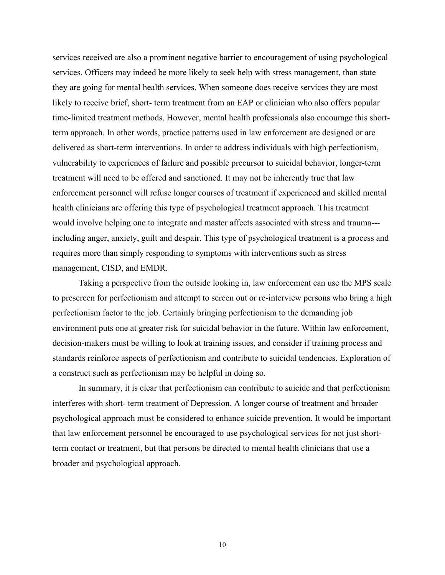services received are also a prominent negative barrier to encouragement of using psychological services. Officers may indeed be more likely to seek help with stress management, than state they are going for mental health services. When someone does receive services they are most likely to receive brief, short- term treatment from an EAP or clinician who also offers popular time-limited treatment methods. However, mental health professionals also encourage this shortterm approach. In other words, practice patterns used in law enforcement are designed or are delivered as short-term interventions. In order to address individuals with high perfectionism, vulnerability to experiences of failure and possible precursor to suicidal behavior, longer-term treatment will need to be offered and sanctioned. It may not be inherently true that law enforcement personnel will refuse longer courses of treatment if experienced and skilled mental health clinicians are offering this type of psychological treatment approach. This treatment would involve helping one to integrate and master affects associated with stress and trauma-- including anger, anxiety, guilt and despair. This type of psychological treatment is a process and requires more than simply responding to symptoms with interventions such as stress management, CISD, and EMDR.

Taking a perspective from the outside looking in, law enforcement can use the MPS scale to prescreen for perfectionism and attempt to screen out or re-interview persons who bring a high perfectionism factor to the job. Certainly bringing perfectionism to the demanding job environment puts one at greater risk for suicidal behavior in the future. Within law enforcement, decision-makers must be willing to look at training issues, and consider if training process and standards reinforce aspects of perfectionism and contribute to suicidal tendencies. Exploration of a construct such as perfectionism may be helpful in doing so.

In summary, it is clear that perfectionism can contribute to suicide and that perfectionism interferes with short- term treatment of Depression. A longer course of treatment and broader psychological approach must be considered to enhance suicide prevention. It would be important that law enforcement personnel be encouraged to use psychological services for not just shortterm contact or treatment, but that persons be directed to mental health clinicians that use a broader and psychological approach.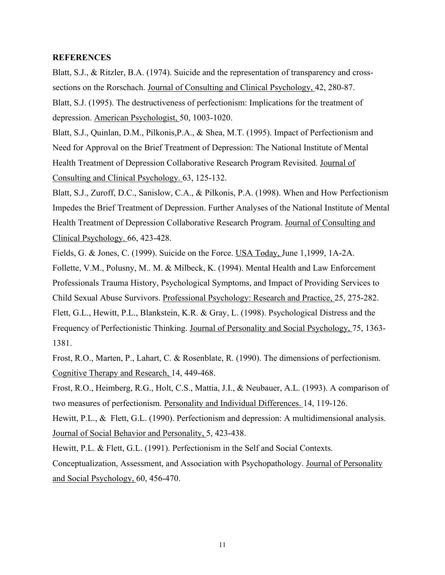#### **REFERENCES**

Blatt, S.J., & Ritzler, B.A. (1974). Suicide and the representation of transparency and crosssections on the Rorschach. Journal of Consulting and Clinical Psychology, 42, 280-87. Blatt, S.J. (1995). The destructiveness of perfectionism: Implications for the treatment of depression. American Psychologist, 50, 1003-1020.

Blatt, S.J., Quinlan, D.M., Pilkonis,P.A., & Shea, M.T. (1995). Impact of Perfectionism and Need for Approval on the Brief Treatment of Depression: The National Institute of Mental Health Treatment of Depression Collaborative Research Program Revisited. Journal of Consulting and Clinical Psychology. 63, 125-132.

Blatt, S.J., Zuroff, D.C., Sanislow, C.A., & Pilkonis, P.A. (1998). When and How Perfectionism Impedes the Brief Treatment of Depression. Further Analyses of the National Institute of Mental Health Treatment of Depression Collaborative Research Program. Journal of Consulting and Clinical Psychology. 66, 423-428.

Fields, G. & Jones, C. (1999). Suicide on the Force. USA Today, June 1,1999, 1A-2A.

Follette, V.M., Polusny, M.. M. & Milbeck, K. (1994). Mental Health and Law Enforcement Professionals Trauma History, Psychological Symptoms, and Impact of Providing Services to Child Sexual Abuse Survivors. Professional Psychology: Research and Practice, 25, 275-282. Flett, G.L., Hewitt, P.L., Blankstein, K.R. & Gray, L. (1998). Psychological Distress and the Frequency of Perfectionistic Thinking. Journal of Personality and Social Psychology, 75, 1363- 1381.

Frost, R.O., Marten, P., Lahart, C. & Rosenblate, R. (1990). The dimensions of perfectionism. Cognitive Therapy and Research, 14, 449-468.

Frost, R.O., Heimberg, R.G., Holt, C.S., Mattia, J.I., & Neubauer, A.L. (1993). A comparison of two measures of perfectionism. Personality and Individual Differences. 14, 119-126.

Hewitt, P.L., & Flett, G.L. (1990). Perfectionism and depression: A multidimensional analysis. Journal of Social Behavior and Personality, 5, 423-438.

Hewitt, P.L. & Flett, G.L. (1991). Perfectionism in the Self and Social Contexts.

Conceptualization, Assessment, and Association with Psychopathology. Journal of Personality and Social Psychology, 60, 456-470.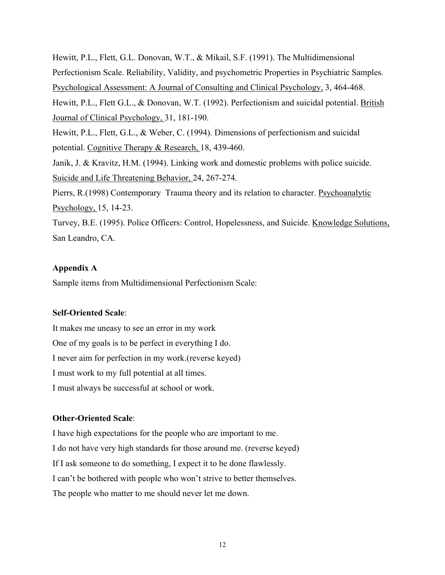Hewitt, P.L., Flett, G.L. Donovan, W.T., & Mikail, S.F. (1991). The Multidimensional Perfectionism Scale. Reliability, Validity, and psychometric Properties in Psychiatric Samples. Psychological Assessment: A Journal of Consulting and Clinical Psychology, 3, 464-468. Hewitt, P.L., Flett G.L., & Donovan, W.T. (1992). Perfectionism and suicidal potential. British Journal of Clinical Psychology, 31, 181-190. Hewitt, P.L., Flett, G.L., & Weber, C. (1994). Dimensions of perfectionism and suicidal potential. Cognitive Therapy & Research, 18, 439-460. Janik, J. & Kravitz, H.M. (1994). Linking work and domestic problems with police suicide. Suicide and Life Threatening Behavior, 24, 267-274. Pierrs, R.(1998) Contemporary Trauma theory and its relation to character. Psychoanalytic Psychology, 15, 14-23. Turvey, B.E. (1995). Police Officers: Control, Hopelessness, and Suicide. Knowledge Solutions, San Leandro, CA.

## **Appendix A**

Sample items from Multidimensional Perfectionism Scale:

## **Self-Oriented Scale**:

It makes me uneasy to see an error in my work One of my goals is to be perfect in everything I do. I never aim for perfection in my work.(reverse keyed) I must work to my full potential at all times. I must always be successful at school or work.

## **Other-Oriented Scale**:

I have high expectations for the people who are important to me. I do not have very high standards for those around me. (reverse keyed) If I ask someone to do something, I expect it to be done flawlessly. I can't be bothered with people who won't strive to better themselves. The people who matter to me should never let me down.